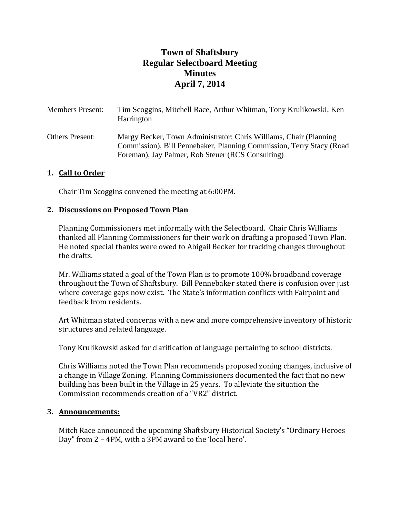# **Town of Shaftsbury Regular Selectboard Meeting Minutes April 7, 2014**

| <b>Members Present:</b> | Tim Scoggins, Mitchell Race, Arthur Whitman, Tony Krulikowski, Ken<br>Harrington                                                                                                                |
|-------------------------|-------------------------------------------------------------------------------------------------------------------------------------------------------------------------------------------------|
| Others Present:         | Margy Becker, Town Administrator; Chris Williams, Chair (Planning)<br>Commission), Bill Pennebaker, Planning Commission, Terry Stacy (Road<br>Foreman), Jay Palmer, Rob Steuer (RCS Consulting) |

# **1. Call to Order**

Chair Tim Scoggins convened the meeting at 6:00PM.

#### **2. Discussions on Proposed Town Plan**

Planning Commissioners met informally with the Selectboard. Chair Chris Williams thanked all Planning Commissioners for their work on drafting a proposed Town Plan. He noted special thanks were owed to Abigail Becker for tracking changes throughout the drafts.

Mr. Williams stated a goal of the Town Plan is to promote 100% broadband coverage throughout the Town of Shaftsbury. Bill Pennebaker stated there is confusion over just where coverage gaps now exist. The State's information conflicts with Fairpoint and feedback from residents.

Art Whitman stated concerns with a new and more comprehensive inventory of historic structures and related language.

Tony Krulikowski asked for clarification of language pertaining to school districts.

Chris Williams noted the Town Plan recommends proposed zoning changes, inclusive of a change in Village Zoning. Planning Commissioners documented the fact that no new building has been built in the Village in 25 years. To alleviate the situation the Commission recommends creation of a "VR2" district.

#### **3. Announcements:**

Mitch Race announced the upcoming Shaftsbury Historical Society's "Ordinary Heroes Day" from 2 – 4PM, with a 3PM award to the 'local hero'.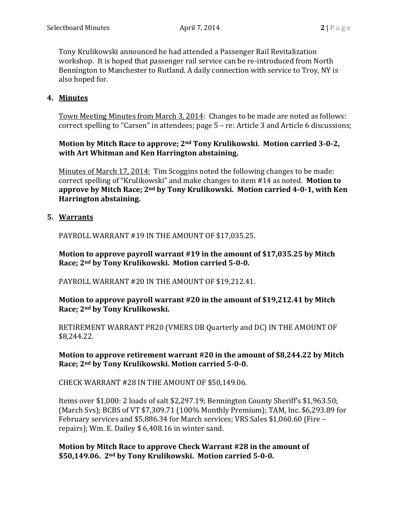Tony Krulikowski announced he had attended a Passenger Rail Revitalization workshop. It is hoped that passenger rail service can be re-introduced from North Bennington to Manchester to Rutland. A daily connection with service to Troy, NY is also hoped for.

#### **4. Minutes**

Town Meeting Minutes from March 3, 2014: Changes to be made are noted as follows: correct spelling to "Carsen" in attendees; page 5 – re: Article 3 and Article 6 discussions;

# **Motion by Mitch Race to approve; 2nd Tony Krulikowski. Motion carried 3-0-2, with Art Whitman and Ken Harrington abstaining.**

Minutes of March 17, 2014: Tim Scoggins noted the following changes to be made: correct spelling of "Krulikowski" and make changes to item #14 as noted. **Motion to approve by Mitch Race; 2nd by Tony Krulikowski. Motion carried 4-0-1, with Ken Harrington abstaining.**

# **5. Warrants**

PAYROLL WARRANT #19 IN THE AMOUNT OF \$17,035.25.

**Motion to approve payroll warrant #19 in the amount of \$17,035.25 by Mitch Race; 2nd by Tony Krulikowski. Motion carried 5-0-0.**

PAYROLL WARRANT #20 IN THE AMOUNT OF \$19,212.41.

**Motion to approve payroll warrant #20 in the amount of \$19,212.41 by Mitch Race; 2nd by Tony Krulikowski.**

RETIREMENT WARRANT PR20 (VMERS DB Quarterly and DC) IN THE AMOUNT OF \$8,244.22.

# **Motion to approve retirement warrant #20 in the amount of \$8,244.22 by Mitch Race; 2nd by Tony Krulikowski. Motion carried 5-0-0.**

CHECK WARRANT #28 IN THE AMOUNT OF \$50,149.06.

Items over \$1,000: 2 loads of salt \$2,297.19; Bennington County Sheriff's \$1,963.50; (March Svs); BCBS of VT \$7,309.71 (100% Monthly Premium); TAM, Inc. \$6,293.89 for February services and \$5,886.34 for March services; VRS Sales \$1,060.60 (Fire – repairs); Wm. E. Dailey \$ 6,408.16 in winter sand.

**Motion by Mitch Race to approve Check Warrant #28 in the amount of \$50,149.06. 2nd by Tony Krulikowski. Motion carried 5-0-0.**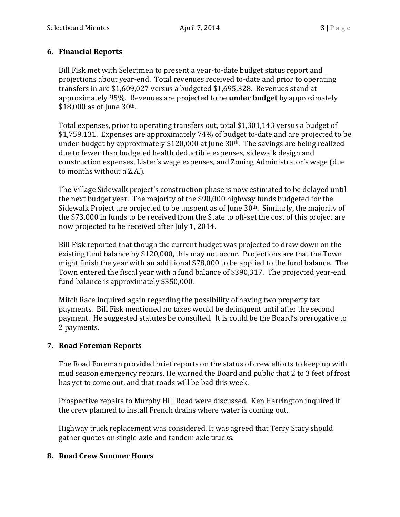# **6. Financial Reports**

Bill Fisk met with Selectmen to present a year-to-date budget status report and projections about year-end. Total revenues received to-date and prior to operating transfers in are \$1,609,027 versus a budgeted \$1,695,328. Revenues stand at approximately 95%. Revenues are projected to be **under budget** by approximately \$18,000 as of June 30th.

Total expenses, prior to operating transfers out, total \$1,301,143 versus a budget of \$1,759,131. Expenses are approximately 74% of budget to-date and are projected to be under-budget by approximately  $$120,000$  at June  $30<sup>th</sup>$ . The savings are being realized due to fewer than budgeted health deductible expenses, sidewalk design and construction expenses, Lister's wage expenses, and Zoning Administrator's wage (due to months without a Z.A.).

The Village Sidewalk project's construction phase is now estimated to be delayed until the next budget year. The majority of the \$90,000 highway funds budgeted for the Sidewalk Project are projected to be unspent as of June 30<sup>th</sup>. Similarly, the majority of the \$73,000 in funds to be received from the State to off-set the cost of this project are now projected to be received after July 1, 2014.

Bill Fisk reported that though the current budget was projected to draw down on the existing fund balance by \$120,000, this may not occur. Projections are that the Town might finish the year with an additional \$78,000 to be applied to the fund balance. The Town entered the fiscal year with a fund balance of \$390,317. The projected year-end fund balance is approximately \$350,000.

Mitch Race inquired again regarding the possibility of having two property tax payments. Bill Fisk mentioned no taxes would be delinquent until after the second payment. He suggested statutes be consulted. It is could be the Board's prerogative to 2 payments.

#### **7. Road Foreman Reports**

The Road Foreman provided brief reports on the status of crew efforts to keep up with mud season emergency repairs. He warned the Board and public that 2 to 3 feet of frost has yet to come out, and that roads will be bad this week.

Prospective repairs to Murphy Hill Road were discussed. Ken Harrington inquired if the crew planned to install French drains where water is coming out.

Highway truck replacement was considered. It was agreed that Terry Stacy should gather quotes on single-axle and tandem axle trucks.

# **8. Road Crew Summer Hours**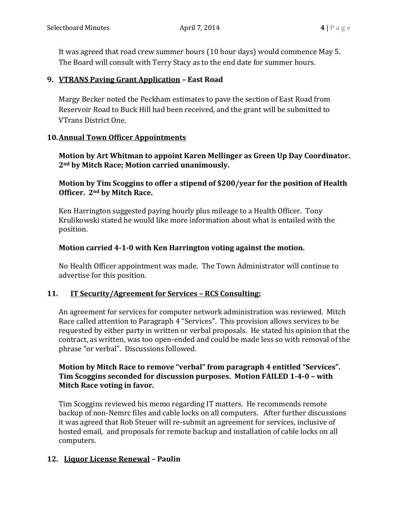It was agreed that road crew summer hours (10 hour days) would commence May 5. The Board will consult with Terry Stacy as to the end date for summer hours.

### **9. VTRANS Paving Grant Application – East Road**

Margy Becker noted the Peckham estimates to pave the section of East Road from Reservoir Road to Buck Hill had been received, and the grant will be submitted to VTrans District One.

#### **10.Annual Town Officer Appointments**

**Motion by Art Whitman to appoint Karen Mellinger as Green Up Day Coordinator. 2nd by Mitch Race; Motion carried unanimously.**

**Motion by Tim Scoggins to offer a stipend of \$200/year for the position of Health Officer. 2nd by Mitch Race.**

Ken Harrington suggested paying hourly plus mileage to a Health Officer. Tony Krulikowski stated he would like more information about what is entailed with the position.

# **Motion carried 4-1-0 with Ken Harrington voting against the motion.**

No Health Officer appointment was made. The Town Administrator will continue to advertise for this position.

# **11. IT Security/Agreement for Services – RCS Consulting:**

An agreement for services for computer network administration was reviewed. Mitch Race called attention to Paragraph 4 "Services". This provision allows services to be requested by either party in written or verbal proposals. He stated his opinion that the contract, as written, was too open-ended and could be made less so with removal of the phrase "or verbal". Discussions followed.

# **Motion by Mitch Race to remove "verbal" from paragraph 4 entitled "Services". Tim Scoggins seconded for discussion purposes. Motion FAILED 1-4-0 – with Mitch Race voting in favor.**

Tim Scoggins reviewed his memo regarding IT matters. He recommends remote backup of non-Nemrc files and cable locks on all computers. After further discussions it was agreed that Rob Steuer will re-submit an agreement for services, inclusive of hosted email, and proposals for remote backup and installation of cable locks on all computers.

# **12. Liquor License Renewal – Paulin**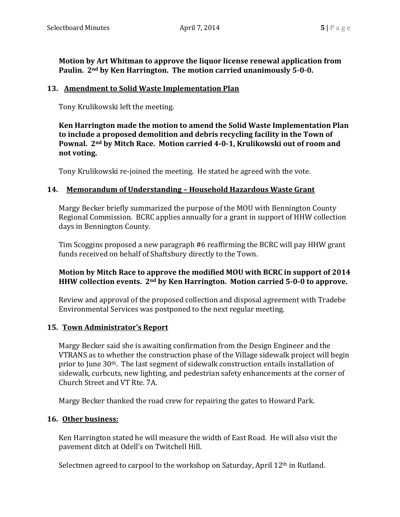**Motion by Art Whitman to approve the liquor license renewal application from Paulin. 2nd by Ken Harrington. The motion carried unanimously 5-0-0.**

#### **13. Amendment to Solid Waste Implementation Plan**

Tony Krulikowski left the meeting.

**Ken Harrington made the motion to amend the Solid Waste Implementation Plan to include a proposed demolition and debris recycling facility in the Town of Pownal. 2nd by Mitch Race. Motion carried 4-0-1, Krulikowski out of room and not voting.** 

Tony Krulikowski re-joined the meeting. He stated he agreed with the vote.

#### **14. Memorandum of Understanding – Household Hazardous Waste Grant**

Margy Becker briefly summarized the purpose of the MOU with Bennington County Regional Commission. BCRC applies annually for a grant in support of HHW collection days in Bennington County.

Tim Scoggins proposed a new paragraph #6 reaffirming the BCRC will pay HHW grant funds received on behalf of Shaftsbury directly to the Town.

#### **Motion by Mitch Race to approve the modified MOU with BCRC in support of 2014 HHW collection events. 2nd by Ken Harrington. Motion carried 5-0-0 to approve.**

Review and approval of the proposed collection and disposal agreement with Tradebe Environmental Services was postponed to the next regular meeting.

#### **15. Town Administrator's Report**

Margy Becker said she is awaiting confirmation from the Design Engineer and the VTRANS as to whether the construction phase of the Village sidewalk project will begin prior to June 30th. The last segment of sidewalk construction entails installation of sidewalk, curbcuts, new lighting, and pedestrian safety enhancements at the corner of Church Street and VT Rte. 7A.

Margy Becker thanked the road crew for repairing the gates to Howard Park.

#### **16. Other business:**

Ken Harrington stated he will measure the width of East Road. He will also visit the pavement ditch at Odell's on Twitchell Hill.

Selectmen agreed to carpool to the workshop on Saturday, April 12<sup>th</sup> in Rutland.